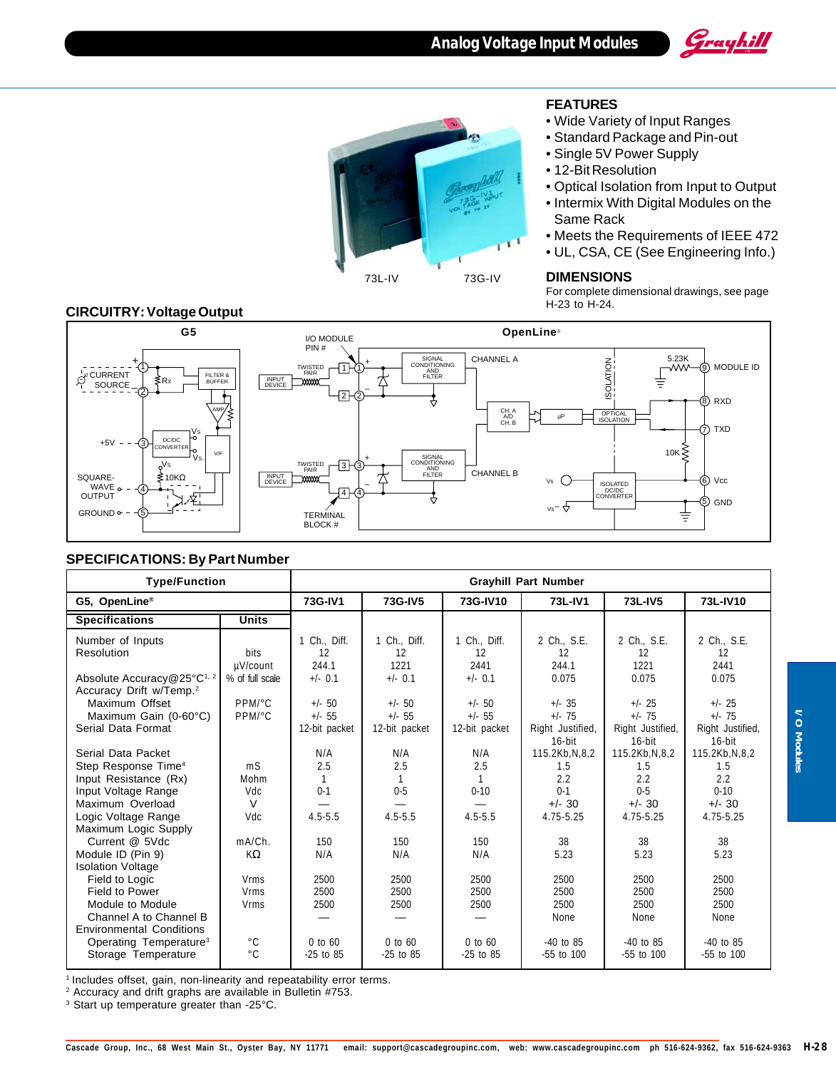





## **FEATURES**

- Wide Variety of Input Ranges
- Standard Package and Pin-out
- Single 5V Power Supply
- 12-Bit Resolution
- Optical Isolation from Input to Output
- Intermix With Digital Modules on the Same Rack
- Meets the Requirements of IEEE 472
- UL, CSA, CE (See Engineering Info.)

For complete dimensional drawings, see page H-23 to H-24.

#### **CIRCUITRY: Voltage Output**



### **SPECIFICATIONS: By Part Number**

| <b>Type/Function</b>                                                                                                                                                      |                                                    | <b>Grayhill Part Number</b>              |                                         |                                         |                                                                    |                                                                    |                                                                     |
|---------------------------------------------------------------------------------------------------------------------------------------------------------------------------|----------------------------------------------------|------------------------------------------|-----------------------------------------|-----------------------------------------|--------------------------------------------------------------------|--------------------------------------------------------------------|---------------------------------------------------------------------|
| G5, OpenLine®                                                                                                                                                             |                                                    | 73G-IV1                                  | 73G-IV5                                 | 73G-IV10                                | 73L-IV1                                                            | 73L-IV5                                                            | 73L-IV10                                                            |
| <b>Specifications</b>                                                                                                                                                     | <b>Units</b>                                       |                                          |                                         |                                         |                                                                    |                                                                    |                                                                     |
| Number of Inputs<br>Resolution<br>Absolute Accuracy@25°C <sup>1, 2</sup>                                                                                                  | <b>bits</b><br>µV/count<br>% of full scale         | 1 Ch., Diff.<br>12<br>244.1<br>$+/-$ 0.1 | 1 Ch., Diff.<br>12<br>1221<br>$+/-$ 0.1 | 1 Ch., Diff.<br>12<br>2441<br>$+/-$ 0.1 | 2 Ch., S.E.<br>12<br>244.1<br>0.075                                | 2 Ch., S.E.<br>12<br>1221<br>0.075                                 | 2 Ch., S.E.<br>12<br>2441<br>0.075                                  |
| Accuracy Drift w/Temp. <sup>2</sup><br>Maximum Offset<br>Maximum Gain (0-60°C)<br>Serial Data Format                                                                      | PPM/°C<br>PPM/°C                                   | $+/-$ 50<br>$+/- 55$<br>12-bit packet    | $+/-$ 50<br>$+/- 55$<br>12-bit packet   | $+/-$ 50<br>$+/- 55$<br>12-bit packet   | $+/- 35$<br>$+/- 75$<br>Right Justified,<br>$16$ -bit              | $+/- 25$<br>$+/- 75$<br>Right Justified,<br>$16$ -bit              | $+/- 25$<br>$+/- 75$<br>Right Justified,<br>$16$ -bit               |
| Serial Data Packet<br>Step Response Time <sup>4</sup><br>Input Resistance (Rx)<br>Input Voltage Range<br>Maximum Overload<br>Logic Voltage Range                          | mS<br>Mohm<br>Vdc<br>$\vee$<br>Vdc                 | N/A<br>2.5<br>$0 - 1$<br>$4.5 - 5.5$     | N/A<br>2.5<br>$0 - 5$<br>$4.5 - 5.5$    | N/A<br>2.5<br>$0 - 10$<br>$4.5 - 5.5$   | 115.2Kb, N, 8, 2<br>1.5<br>2.2<br>$0 - 1$<br>$+/- 30$<br>4.75-5.25 | 115.2Kb, N, 8, 2<br>1.5<br>2.2<br>$0 - 5$<br>$+/- 30$<br>4.75-5.25 | 115.2Kb, N, 8, 2<br>1.5<br>2.2<br>$0 - 10$<br>$+/- 30$<br>4.75-5.25 |
| Maximum Logic Supply<br>Current @ 5Vdc<br>Module ID (Pin 9)<br><b>Isolation Voltage</b><br>Field to Logic<br>Field to Power<br>Module to Module<br>Channel A to Channel B | mA/Ch.<br>KΩ<br><b>Vrms</b><br><b>Vrms</b><br>Vrms | 150<br>N/A<br>2500<br>2500<br>2500       | 150<br>N/A<br>2500<br>2500<br>2500      | 150<br>N/A<br>2500<br>2500<br>2500      | 38<br>5.23<br>2500<br>2500<br>2500<br>None                         | 38<br>5.23<br>2500<br>2500<br>2500<br>None                         | 38<br>5.23<br>2500<br>2500<br>2500<br>None                          |
| <b>Environmental Conditions</b><br>Operating Temperature <sup>3</sup><br>Storage Temperature                                                                              | $^{\circ}$ C<br>$^{\circ}$ C                       | $0$ to $60$<br>$-25$ to 85               | $0$ to $60$<br>$-25$ to 85              | $0$ to $60$<br>$-25$ to 85              | $-40$ to 85<br>-55 to 100                                          | $-40$ to 85<br>-55 to 100                                          | $-40$ to 85<br>-55 to 100                                           |

<sup>1</sup> Includes offset, gain, non-linearity and repeatability error terms.

2 Accuracy and drift graphs are available in Bulletin #753.

3 Start up temperature greater than -25°C.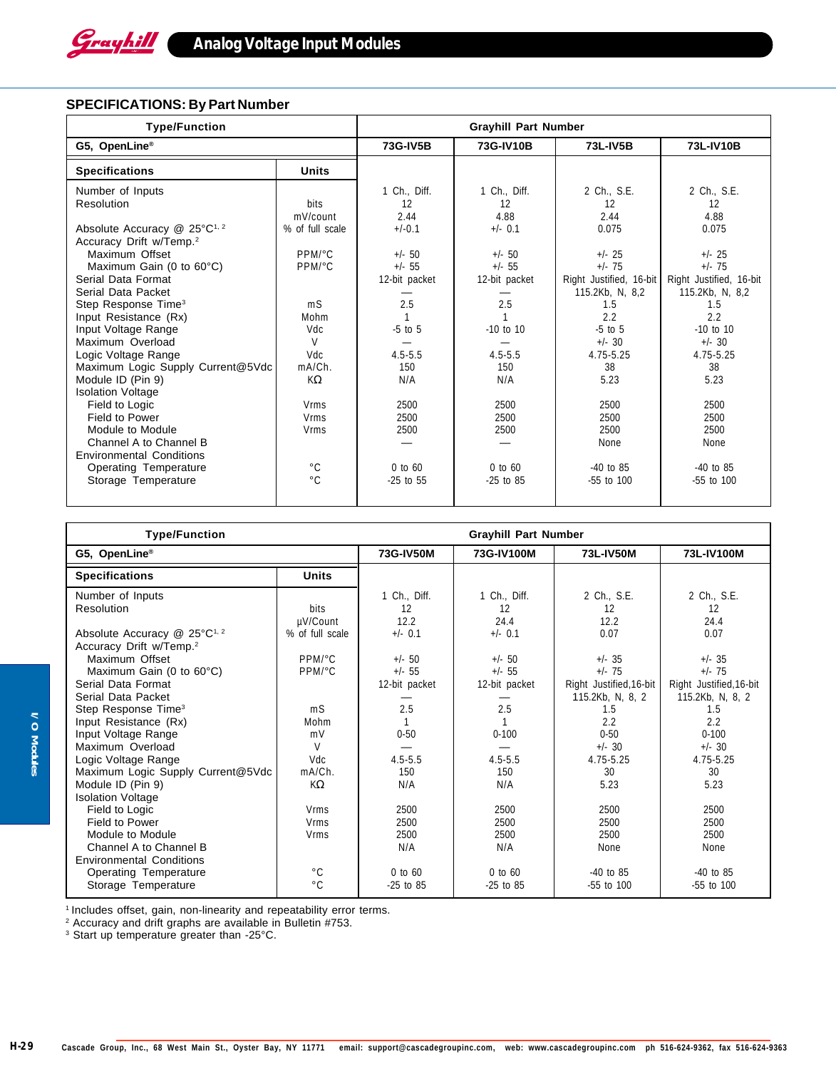

# **SPECIFICATIONS: By Part Number**

| <b>Type/Function</b>                     | <b>Grayhill Part Number</b> |               |               |                         |                         |
|------------------------------------------|-----------------------------|---------------|---------------|-------------------------|-------------------------|
| G5, OpenLine®                            |                             | 73G-IV5B      | 73G-IV10B     | 73L-IV5B                | 73L-IV10B               |
| <b>Specifications</b>                    | <b>Units</b>                |               |               |                         |                         |
| Number of Inputs                         |                             | 1 Ch., Diff.  | 1 Ch., Diff.  | 2 Ch., S.E.             | 2 Ch., S.E.             |
| <b>Resolution</b>                        | <b>bits</b>                 | 12            | 12            | 12                      | 12                      |
|                                          | mV/count                    | 2.44          | 4.88          | 2.44                    | 4.88                    |
| Absolute Accuracy @ 25°C <sup>1, 2</sup> | % of full scale             | $+/-0.1$      | $+/-$ 0.1     | 0.075                   | 0.075                   |
| Accuracy Drift w/Temp. <sup>2</sup>      |                             |               |               |                         |                         |
| Maximum Offset                           | PPM/°C                      | $+/-$ 50      | $+/- 50$      | $+/- 25$                | $+/- 25$                |
| Maximum Gain (0 to $60^{\circ}$ C)       | PPM/°C                      | $+/- 55$      | $+/- 55$      | $+/- 75$                | $+/- 75$                |
| Serial Data Format                       |                             | 12-bit packet | 12-bit packet | Right Justified, 16-bit | Right Justified, 16-bit |
| Serial Data Packet                       |                             |               |               | 115.2Kb, N, 8,2         | 115.2Kb, N, 8,2         |
| Step Response Time <sup>3</sup>          | m <sub>S</sub>              | 2.5           | 2.5           | 1.5                     | 1.5                     |
| Input Resistance (Rx)                    | Mohm                        |               |               | 2.2                     | 2.2                     |
| Input Voltage Range                      | Vdc                         | $-5$ to $5$   | $-10$ to 10   | $-5$ to $5$             | $-10$ to $10$           |
| Maximum Overload                         | $\mathsf{V}$                |               |               | $+/- 30$                | $+/- 30$                |
| Logic Voltage Range                      | Vdc                         | $4.5 - 5.5$   | $4.5 - 5.5$   | 4.75-5.25               | 4.75-5.25               |
| Maximum Logic Supply Current@5Vdc        | mA/Ch.                      | 150           | 150           | 38                      | 38                      |
| Module ID (Pin 9)                        | KΩ                          | N/A           | N/A           | 5.23                    | 5.23                    |
| <b>Isolation Voltage</b>                 |                             |               |               |                         |                         |
| Field to Logic                           | <b>Vrms</b>                 | 2500          | 2500          | 2500                    | 2500                    |
| Field to Power                           | <b>Vrms</b>                 | 2500          | 2500          | 2500                    | 2500                    |
| Module to Module                         | <b>Vrms</b>                 | 2500          | 2500          | 2500                    | 2500                    |
| Channel A to Channel B                   |                             |               |               | None                    | None                    |
| <b>Environmental Conditions</b>          |                             |               |               |                         |                         |
| Operating Temperature                    | $^{\circ}$ C                | $0$ to $60$   | $0$ to $60$   | $-40$ to 85             | $-40$ to 85             |
| Storage Temperature                      | $^{\circ}$ C                | $-25$ to 55   | $-25$ to 85   | $-55$ to $100$          | -55 to 100              |
|                                          |                             |               |               |                         |                         |

| <b>Type/Function</b>                       | <b>Grayhill Part Number</b> |               |               |                         |                         |
|--------------------------------------------|-----------------------------|---------------|---------------|-------------------------|-------------------------|
| G5, OpenLine®                              | 73G-IV50M                   | 73G-IV100M    | 73L-IV50M     | 73L-IV100M              |                         |
| <b>Specifications</b>                      | <b>Units</b>                |               |               |                         |                         |
| Number of Inputs                           |                             | 1 Ch., Diff.  | 1 Ch., Diff.  | 2 Ch., S.E.             | 2 Ch., S.E.             |
| Resolution                                 | bits                        | 12            | 12            | 12                      | 12                      |
|                                            | µV/Count                    | 12.2          | 24.4          | 12.2                    | 24.4                    |
| Absolute Accuracy $@$ 25°C <sup>1, 2</sup> | % of full scale             | $+/-$ 0.1     | $+/-$ 0.1     | 0.07                    | 0.07                    |
| Accuracy Drift w/Temp. <sup>2</sup>        |                             |               |               |                         |                         |
| Maximum Offset                             | PPM/°C                      | $+/-$ 50      | $+/- 50$      | $+/- 35$                | $+/- 35$                |
| Maximum Gain (0 to $60^{\circ}$ C)         | PPM/°C                      | $+/-$ 55      | $+/- 55$      | $+/- 75$                | $+/- 75$                |
| Serial Data Format                         |                             | 12-bit packet | 12-bit packet | Right Justified, 16-bit | Right Justified, 16-bit |
| Serial Data Packet                         |                             |               |               | 115.2Kb, N, 8, 2        | 115.2Kb, N, 8, 2        |
| Step Response Time <sup>3</sup>            | m <sub>S</sub>              | 2.5           | 2.5           | 1.5                     | 1.5                     |
| Input Resistance (Rx)                      | Mohm                        |               |               | 2.2                     | 2.2                     |
| Input Voltage Range                        | mV                          | $0 - 50$      | $0 - 100$     | $0 - 50$                | $0 - 100$               |
| Maximum Overload                           | $\vee$                      |               |               | $+/- 30$                | $+/- 30$                |
| Logic Voltage Range                        | Vdc                         | $4.5 - 5.5$   | $4.5 - 5.5$   | 4.75-5.25               | 4.75-5.25               |
| Maximum Logic Supply Current@5Vdc          | mA/Ch.                      | 150           | 150           | 30                      | 30                      |
| Module ID (Pin 9)                          | $K\Omega$                   | N/A           | N/A           | 5.23                    | 5.23                    |
| <b>Isolation Voltage</b>                   |                             |               |               |                         |                         |
| Field to Logic                             | <b>Vrms</b>                 | 2500          | 2500          | 2500                    | 2500                    |
| Field to Power                             | <b>Vrms</b>                 | 2500          | 2500          | 2500                    | 2500                    |
| Module to Module                           | <b>Vrms</b>                 | 2500          | 2500          | 2500                    | 2500                    |
| Channel A to Channel B                     |                             | N/A           | N/A           | None                    | None                    |
| <b>Environmental Conditions</b>            |                             |               |               |                         |                         |
| <b>Operating Temperature</b>               | $^{\circ}$ C                | $0$ to $60$   | $0$ to $60$   | $-40$ to 85             | $-40$ to 85             |
| Storage Temperature                        | $^{\circ}$ C                | $-25$ to 85   | $-25$ to 85   | -55 to 100              | -55 to 100              |

1 Includes offset, gain, non-linearity and repeatability error terms.

2 Accuracy and drift graphs are available in Bulletin #753.

<sup>3</sup> Start up temperature greater than -25°C.